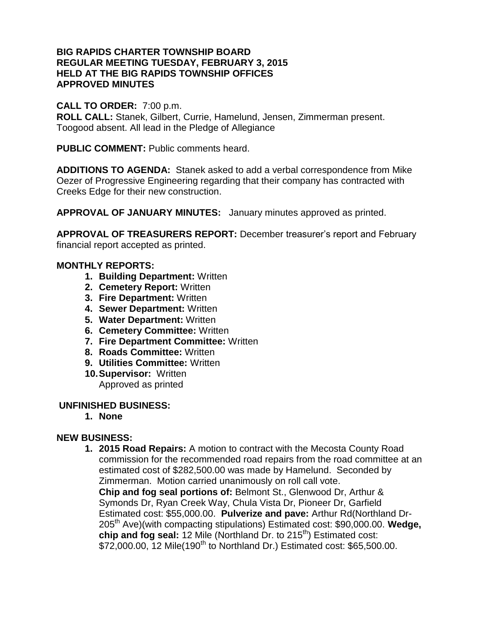### **BIG RAPIDS CHARTER TOWNSHIP BOARD REGULAR MEETING TUESDAY, FEBRUARY 3, 2015 HELD AT THE BIG RAPIDS TOWNSHIP OFFICES APPROVED MINUTES**

### **CALL TO ORDER:** 7:00 p.m.

**ROLL CALL:** Stanek, Gilbert, Currie, Hamelund, Jensen, Zimmerman present. Toogood absent. All lead in the Pledge of Allegiance

**PUBLIC COMMENT:** Public comments heard.

**ADDITIONS TO AGENDA:** Stanek asked to add a verbal correspondence from Mike Oezer of Progressive Engineering regarding that their company has contracted with Creeks Edge for their new construction.

**APPROVAL OF JANUARY MINUTES:** January minutes approved as printed.

**APPROVAL OF TREASURERS REPORT:** December treasurer's report and February financial report accepted as printed.

## **MONTHLY REPORTS:**

- **1. Building Department:** Written
- **2. Cemetery Report:** Written
- **3. Fire Department:** Written
- **4. Sewer Department:** Written
- **5. Water Department:** Written
- **6. Cemetery Committee:** Written
- **7. Fire Department Committee:** Written
- **8. Roads Committee:** Written
- **9. Utilities Committee:** Written
- **10.Supervisor:** Written Approved as printed

### **UNFINISHED BUSINESS:**

**1. None**

# **NEW BUSINESS:**

**1. 2015 Road Repairs:** A motion to contract with the Mecosta County Road commission for the recommended road repairs from the road committee at an estimated cost of \$282,500.00 was made by Hamelund. Seconded by Zimmerman. Motion carried unanimously on roll call vote. **Chip and fog seal portions of:** Belmont St., Glenwood Dr, Arthur & Symonds Dr, Ryan Creek Way, Chula Vista Dr, Pioneer Dr, Garfield Estimated cost: \$55,000.00. **Pulverize and pave:** Arthur Rd(Northland Dr-205th Ave)(with compacting stipulations) Estimated cost: \$90,000.00. **Wedge, chip and fog seal:** 12 Mile (Northland Dr. to 215<sup>th</sup>) Estimated cost: \$72,000.00, 12 Mile(190<sup>th</sup> to Northland Dr.) Estimated cost: \$65,500.00.